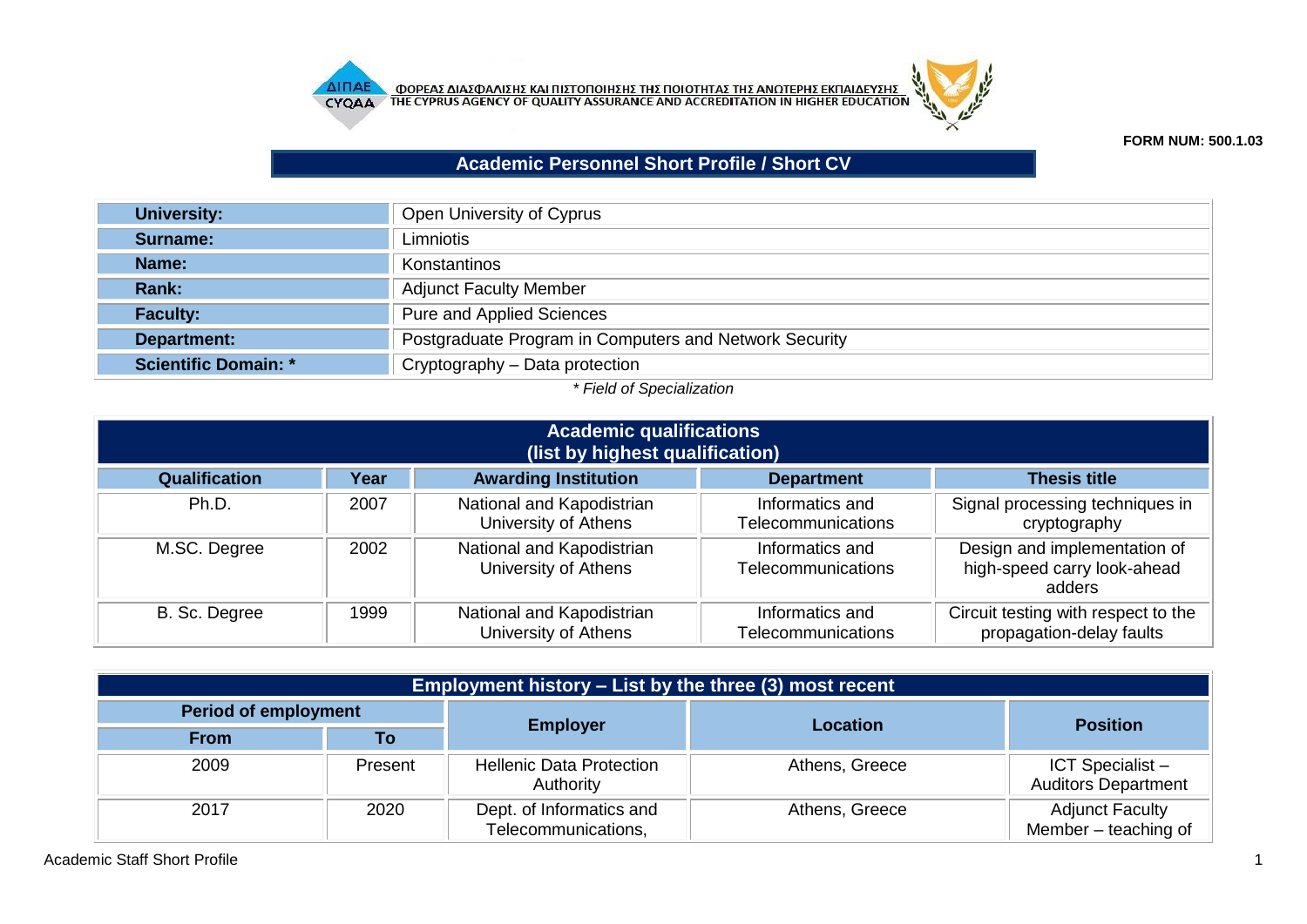



## **FORM NUM: 500.1.03**

## **Academic Personnel Short Profile / Short CV**

| <b>University:</b>   | Open University of Cyprus                              |
|----------------------|--------------------------------------------------------|
| Surname:             | Limniotis                                              |
| <b>Name:</b>         | Konstantinos                                           |
| <b>Rank:</b>         | <b>Adjunct Faculty Member</b>                          |
| <b>Faculty:</b>      | Pure and Applied Sciences                              |
| Department:          | Postgraduate Program in Computers and Network Security |
| Scientific Domain: * | Cryptography - Data protection                         |

## *\* Field of Specialization*

| <b>Academic qualifications</b><br>(list by highest qualification) |      |                                                   |                                              |                                                                       |
|-------------------------------------------------------------------|------|---------------------------------------------------|----------------------------------------------|-----------------------------------------------------------------------|
| <b>Qualification</b>                                              | Year | <b>Awarding Institution</b>                       | <b>Department</b>                            | <b>Thesis title</b>                                                   |
| Ph.D.                                                             | 2007 | National and Kapodistrian<br>University of Athens | Informatics and<br><b>Telecommunications</b> | Signal processing techniques in<br>cryptography                       |
| M.SC. Degree                                                      | 2002 | National and Kapodistrian<br>University of Athens | Informatics and<br><b>Telecommunications</b> | Design and implementation of<br>high-speed carry look-ahead<br>adders |
| B. Sc. Degree                                                     | 1999 | National and Kapodistrian<br>University of Athens | Informatics and<br>Telecommunications        | Circuit testing with respect to the<br>propagation-delay faults       |

| Employment history – List by the three (3) most recent |         |                                                 |                 |                                                       |  |
|--------------------------------------------------------|---------|-------------------------------------------------|-----------------|-------------------------------------------------------|--|
| <b>Period of employment</b>                            |         |                                                 |                 |                                                       |  |
| <b>From</b>                                            | Τo      | <b>Employer</b>                                 | <b>Location</b> | <b>Position</b>                                       |  |
| 2009                                                   | Present | <b>Hellenic Data Protection</b><br>Authority    | Athens, Greece  | <b>ICT Specialist -</b><br><b>Auditors Department</b> |  |
| 2017                                                   | 2020    | Dept. of Informatics and<br>Telecommunications, | Athens, Greece  | <b>Adjunct Faculty</b><br>Member - teaching of        |  |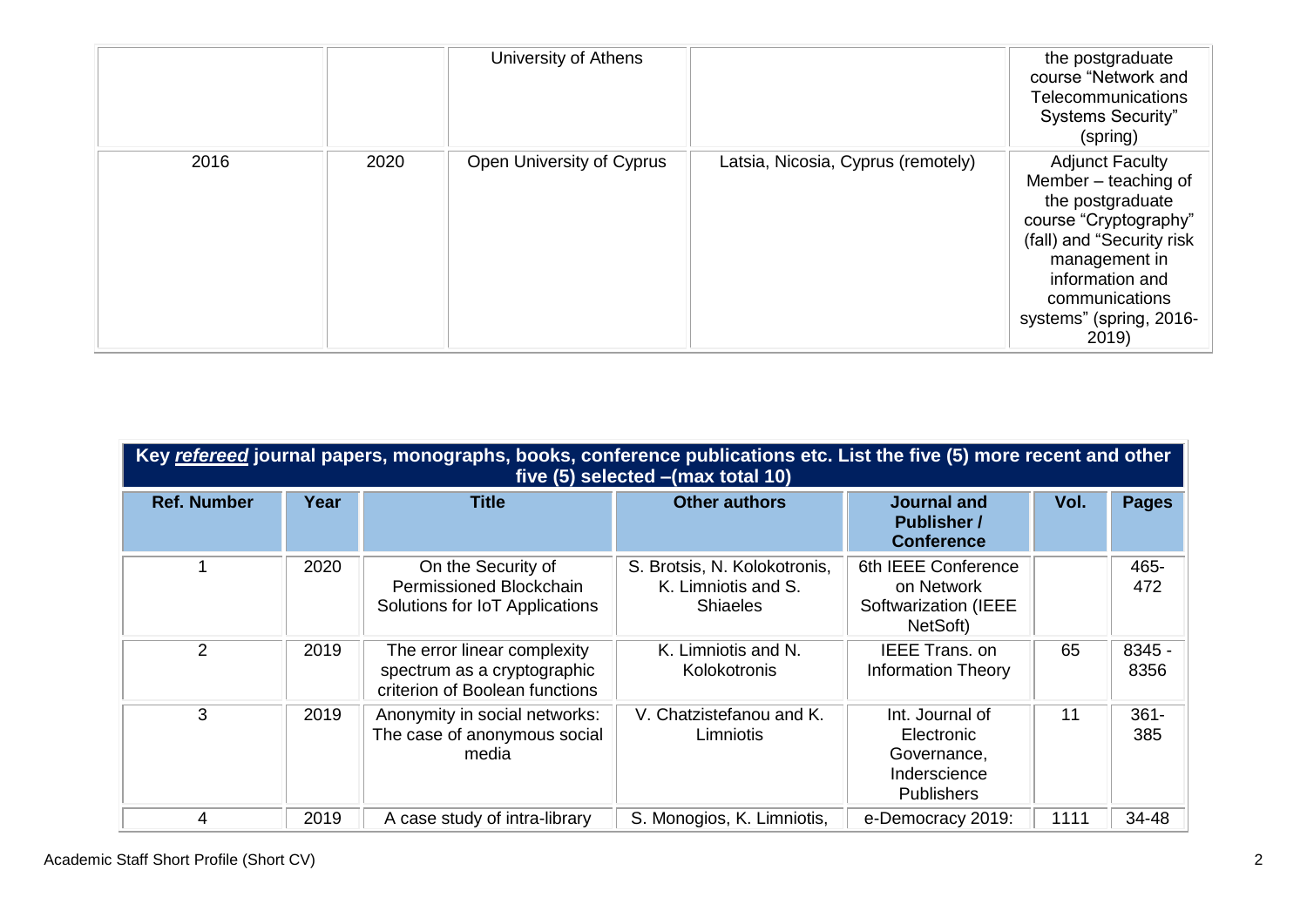|      |      | University of Athens      |                                    | the postgraduate<br>course "Network and<br>Telecommunications<br><b>Systems Security"</b><br>(spring)                                                                                                                |
|------|------|---------------------------|------------------------------------|----------------------------------------------------------------------------------------------------------------------------------------------------------------------------------------------------------------------|
| 2016 | 2020 | Open University of Cyprus | Latsia, Nicosia, Cyprus (remotely) | <b>Adjunct Faculty</b><br>Member $-$ teaching of<br>the postgraduate<br>course "Cryptography"<br>(fall) and "Security risk<br>management in<br>information and<br>communications<br>systems" (spring, 2016-<br>2019) |

|                    | Key refereed journal papers, monographs, books, conference publications etc. List the five (5) more recent and other<br>five (5) selected - (max total 10) |                                                                                              |                                                                        |                                                                                   |      |                |  |
|--------------------|------------------------------------------------------------------------------------------------------------------------------------------------------------|----------------------------------------------------------------------------------------------|------------------------------------------------------------------------|-----------------------------------------------------------------------------------|------|----------------|--|
| <b>Ref. Number</b> | Year                                                                                                                                                       | <b>Title</b>                                                                                 | <b>Other authors</b>                                                   | <b>Journal and</b><br><b>Publisher /</b><br><b>Conference</b>                     | Vol. | <b>Pages</b>   |  |
|                    | 2020                                                                                                                                                       | On the Security of<br>Permissioned Blockchain<br>Solutions for IoT Applications              | S. Brotsis, N. Kolokotronis,<br>K. Limniotis and S.<br><b>Shiaeles</b> | 6th IEEE Conference<br>on Network<br>Softwarization (IEEE<br>NetSoft)             |      | 465-<br>472    |  |
| $\overline{2}$     | 2019                                                                                                                                                       | The error linear complexity<br>spectrum as a cryptographic<br>criterion of Boolean functions | K. Limniotis and N.<br>Kolokotronis                                    | <b>IEEE Trans. on</b><br><b>Information Theory</b>                                | 65   | 8345 -<br>8356 |  |
| 3                  | 2019                                                                                                                                                       | Anonymity in social networks:<br>The case of anonymous social<br>media                       | V. Chatzistefanou and K.<br>Limniotis                                  | Int. Journal of<br>Electronic<br>Governance,<br>Inderscience<br><b>Publishers</b> | 11   | $361 -$<br>385 |  |
| 4                  | 2019                                                                                                                                                       | A case study of intra-library                                                                | S. Monogios, K. Limniotis,                                             | e-Democracy 2019:                                                                 | 1111 | 34-48          |  |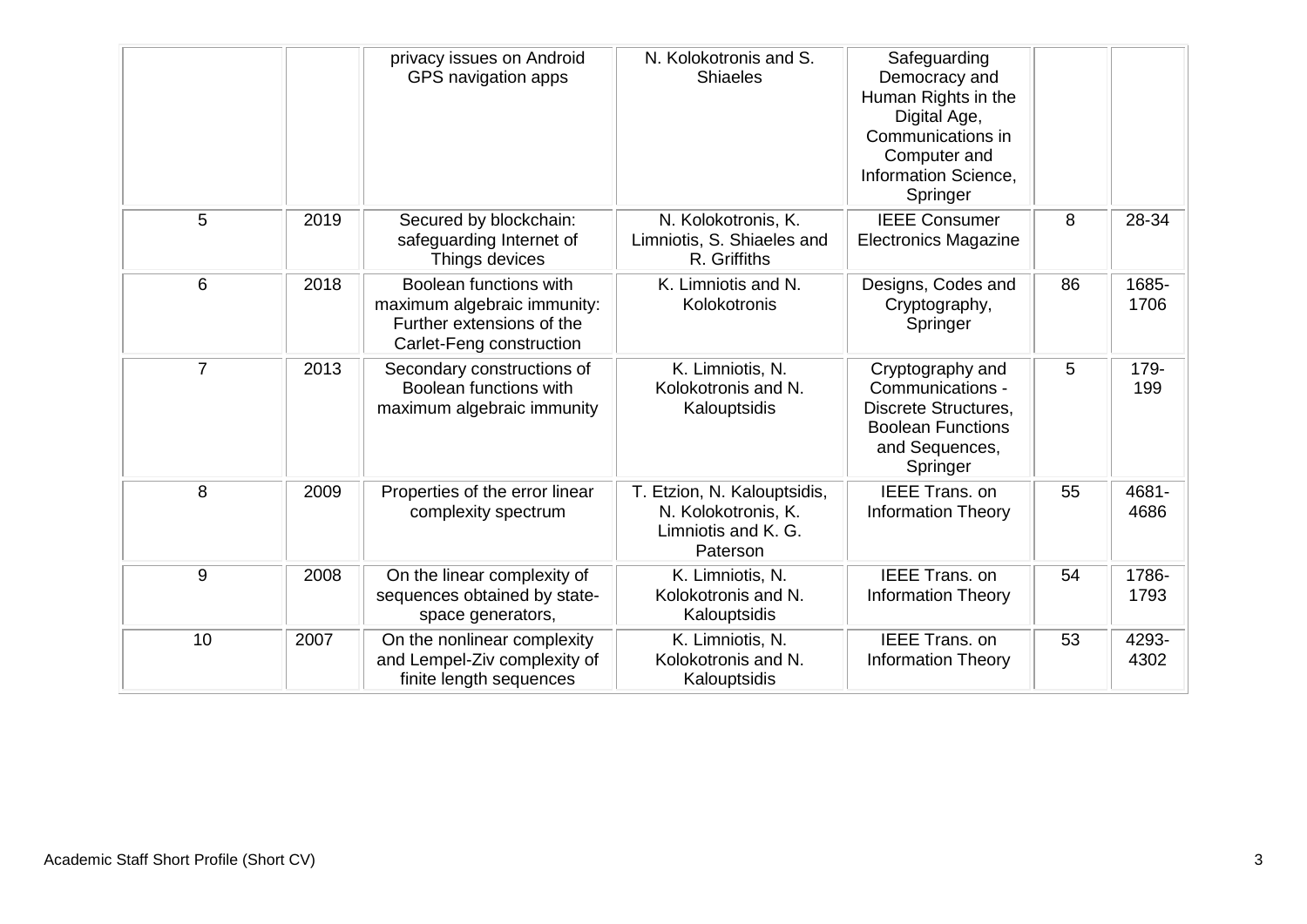|                |      | privacy issues on Android<br>GPS navigation apps                                                               | N. Kolokotronis and S.<br><b>Shiaeles</b>                                             | Safeguarding<br>Democracy and<br>Human Rights in the<br>Digital Age,<br>Communications in<br>Computer and<br>Information Science,<br>Springer |    |               |
|----------------|------|----------------------------------------------------------------------------------------------------------------|---------------------------------------------------------------------------------------|-----------------------------------------------------------------------------------------------------------------------------------------------|----|---------------|
| 5              | 2019 | Secured by blockchain:<br>safeguarding Internet of<br>Things devices                                           | N. Kolokotronis, K.<br>Limniotis, S. Shiaeles and<br>R. Griffiths                     | <b>IEEE Consumer</b><br><b>Electronics Magazine</b>                                                                                           | 8  | 28-34         |
| 6              | 2018 | Boolean functions with<br>maximum algebraic immunity:<br>Further extensions of the<br>Carlet-Feng construction | K. Limniotis and N.<br>Kolokotronis                                                   | Designs, Codes and<br>Cryptography,<br>Springer                                                                                               | 86 | 1685-<br>1706 |
| $\overline{7}$ | 2013 | Secondary constructions of<br>Boolean functions with<br>maximum algebraic immunity                             | K. Limniotis, N.<br>Kolokotronis and N.<br>Kalouptsidis                               | Cryptography and<br>Communications -<br>Discrete Structures,<br><b>Boolean Functions</b><br>and Sequences,<br>Springer                        | 5  | 179-<br>199   |
| 8              | 2009 | Properties of the error linear<br>complexity spectrum                                                          | T. Etzion, N. Kalouptsidis,<br>N. Kolokotronis, K.<br>Limniotis and K. G.<br>Paterson | <b>IEEE Trans, on</b><br><b>Information Theory</b>                                                                                            | 55 | 4681-<br>4686 |
| 9              | 2008 | On the linear complexity of<br>sequences obtained by state-<br>space generators,                               | K. Limniotis, N.<br>Kolokotronis and N.<br>Kalouptsidis                               | <b>IEEE Trans. on</b><br><b>Information Theory</b>                                                                                            | 54 | 1786-<br>1793 |
| 10             | 2007 | On the nonlinear complexity<br>and Lempel-Ziv complexity of<br>finite length sequences                         | K. Limniotis, N.<br>Kolokotronis and N.<br>Kalouptsidis                               | <b>IEEE Trans, on</b><br><b>Information Theory</b>                                                                                            | 53 | 4293-<br>4302 |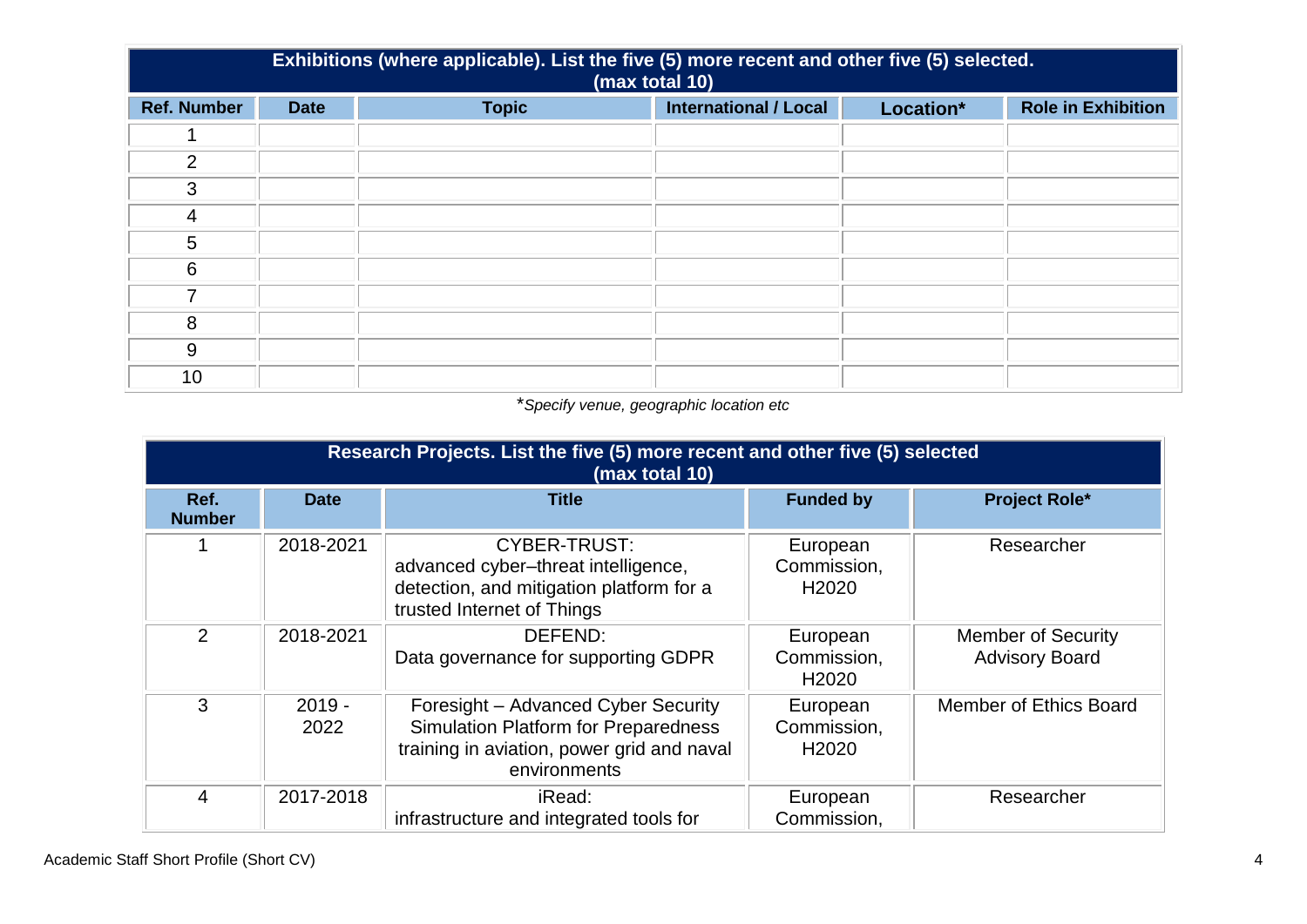|                    | Exhibitions (where applicable). List the five (5) more recent and other five (5) selected.<br>(max total 10) |              |                              |           |                           |  |
|--------------------|--------------------------------------------------------------------------------------------------------------|--------------|------------------------------|-----------|---------------------------|--|
| <b>Ref. Number</b> | <b>Date</b>                                                                                                  | <b>Topic</b> | <b>International / Local</b> | Location* | <b>Role in Exhibition</b> |  |
|                    |                                                                                                              |              |                              |           |                           |  |
| 2                  |                                                                                                              |              |                              |           |                           |  |
| 3                  |                                                                                                              |              |                              |           |                           |  |
| $\overline{4}$     |                                                                                                              |              |                              |           |                           |  |
| 5                  |                                                                                                              |              |                              |           |                           |  |
| 6                  |                                                                                                              |              |                              |           |                           |  |
|                    |                                                                                                              |              |                              |           |                           |  |
| 8                  |                                                                                                              |              |                              |           |                           |  |
| 9                  |                                                                                                              |              |                              |           |                           |  |
| 10                 |                                                                                                              |              |                              |           |                           |  |

## \**Specify venue, geographic location etc*

|                       | Research Projects. List the five (5) more recent and other five (5) selected<br>(max total 10) |                                                                                                                                                  |                                              |                                                    |  |  |
|-----------------------|------------------------------------------------------------------------------------------------|--------------------------------------------------------------------------------------------------------------------------------------------------|----------------------------------------------|----------------------------------------------------|--|--|
| Ref.<br><b>Number</b> | <b>Date</b>                                                                                    | <b>Title</b>                                                                                                                                     | <b>Funded by</b>                             | <b>Project Role*</b>                               |  |  |
|                       | 2018-2021                                                                                      | <b>CYBER-TRUST:</b><br>advanced cyber-threat intelligence,<br>detection, and mitigation platform for a<br>trusted Internet of Things             | European<br>Commission,<br>H <sub>2020</sub> | Researcher                                         |  |  |
| $\overline{2}$        | 2018-2021                                                                                      | DEFEND:<br>Data governance for supporting GDPR                                                                                                   | European<br>Commission,<br>H <sub>2020</sub> | <b>Member of Security</b><br><b>Advisory Board</b> |  |  |
| 3                     | $2019 -$<br>2022                                                                               | Foresight - Advanced Cyber Security<br><b>Simulation Platform for Preparedness</b><br>training in aviation, power grid and naval<br>environments | European<br>Commission,<br>H <sub>2020</sub> | Member of Ethics Board                             |  |  |
| 4                     | 2017-2018                                                                                      | iRead:<br>infrastructure and integrated tools for                                                                                                | European<br>Commission,                      | Researcher                                         |  |  |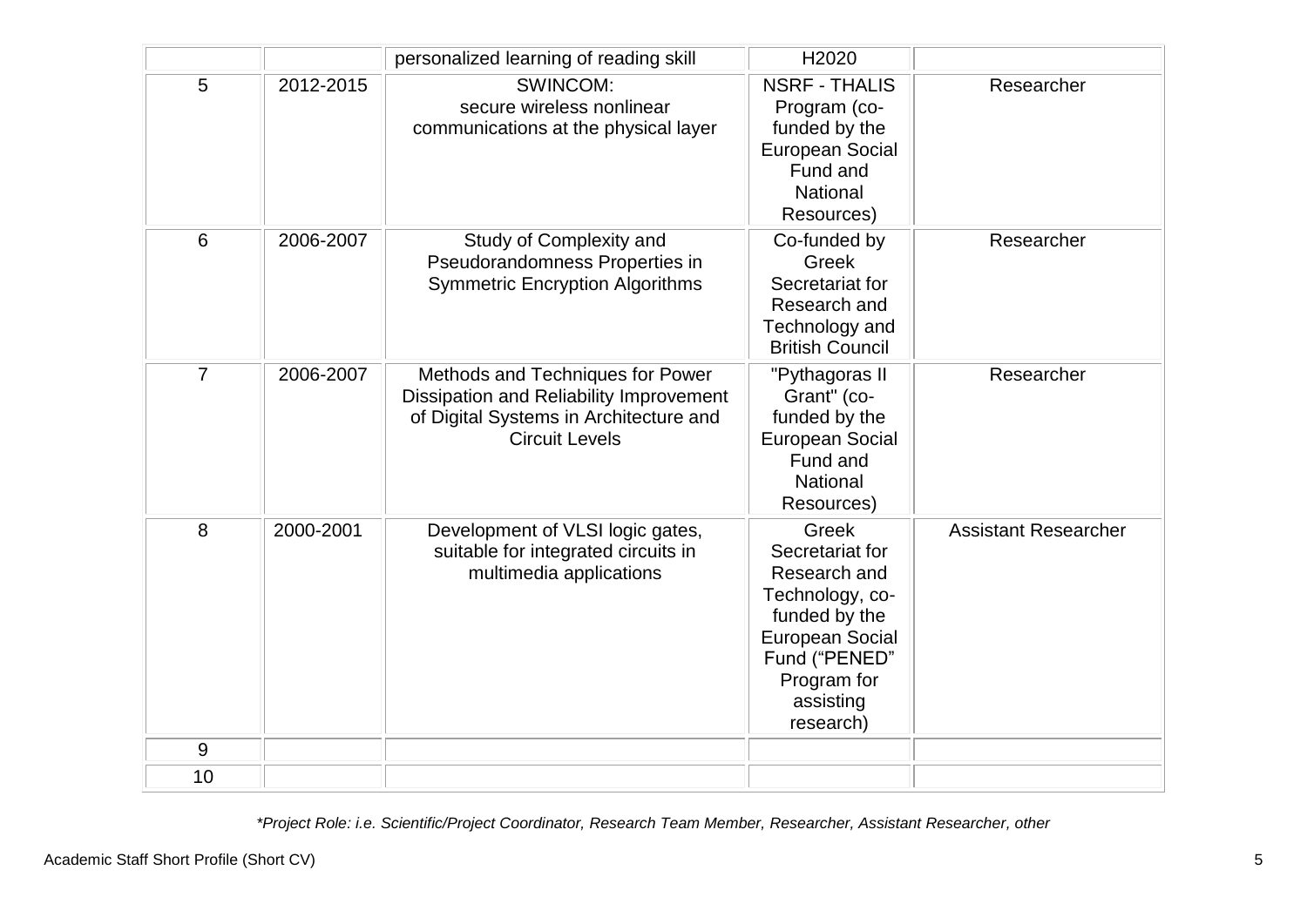|                |           | personalized learning of reading skill                                                                                                         | H2020                                                                                                                                                                   |                             |
|----------------|-----------|------------------------------------------------------------------------------------------------------------------------------------------------|-------------------------------------------------------------------------------------------------------------------------------------------------------------------------|-----------------------------|
| 5              | 2012-2015 | <b>SWINCOM:</b><br>secure wireless nonlinear<br>communications at the physical layer                                                           | <b>NSRF - THALIS</b><br>Program (co-<br>funded by the<br><b>European Social</b><br>Fund and<br>National<br>Resources)                                                   | Researcher                  |
| 6              | 2006-2007 | Study of Complexity and<br>Pseudorandomness Properties in<br><b>Symmetric Encryption Algorithms</b>                                            | Co-funded by<br>Greek<br>Secretariat for<br>Research and<br>Technology and<br><b>British Council</b>                                                                    | Researcher                  |
| $\overline{7}$ | 2006-2007 | Methods and Techniques for Power<br>Dissipation and Reliability Improvement<br>of Digital Systems in Architecture and<br><b>Circuit Levels</b> | "Pythagoras II<br>Grant" (co-<br>funded by the<br><b>European Social</b><br>Fund and<br><b>National</b><br>Resources)                                                   | Researcher                  |
| 8              | 2000-2001 | Development of VLSI logic gates,<br>suitable for integrated circuits in<br>multimedia applications                                             | <b>Greek</b><br>Secretariat for<br>Research and<br>Technology, co-<br>funded by the<br><b>European Social</b><br>Fund ("PENED"<br>Program for<br>assisting<br>research) | <b>Assistant Researcher</b> |
| 9              |           |                                                                                                                                                |                                                                                                                                                                         |                             |
| 10             |           |                                                                                                                                                |                                                                                                                                                                         |                             |

*\*Project Role: i.e. Scientific/Project Coordinator, Research Team Member, Researcher, Assistant Researcher, other*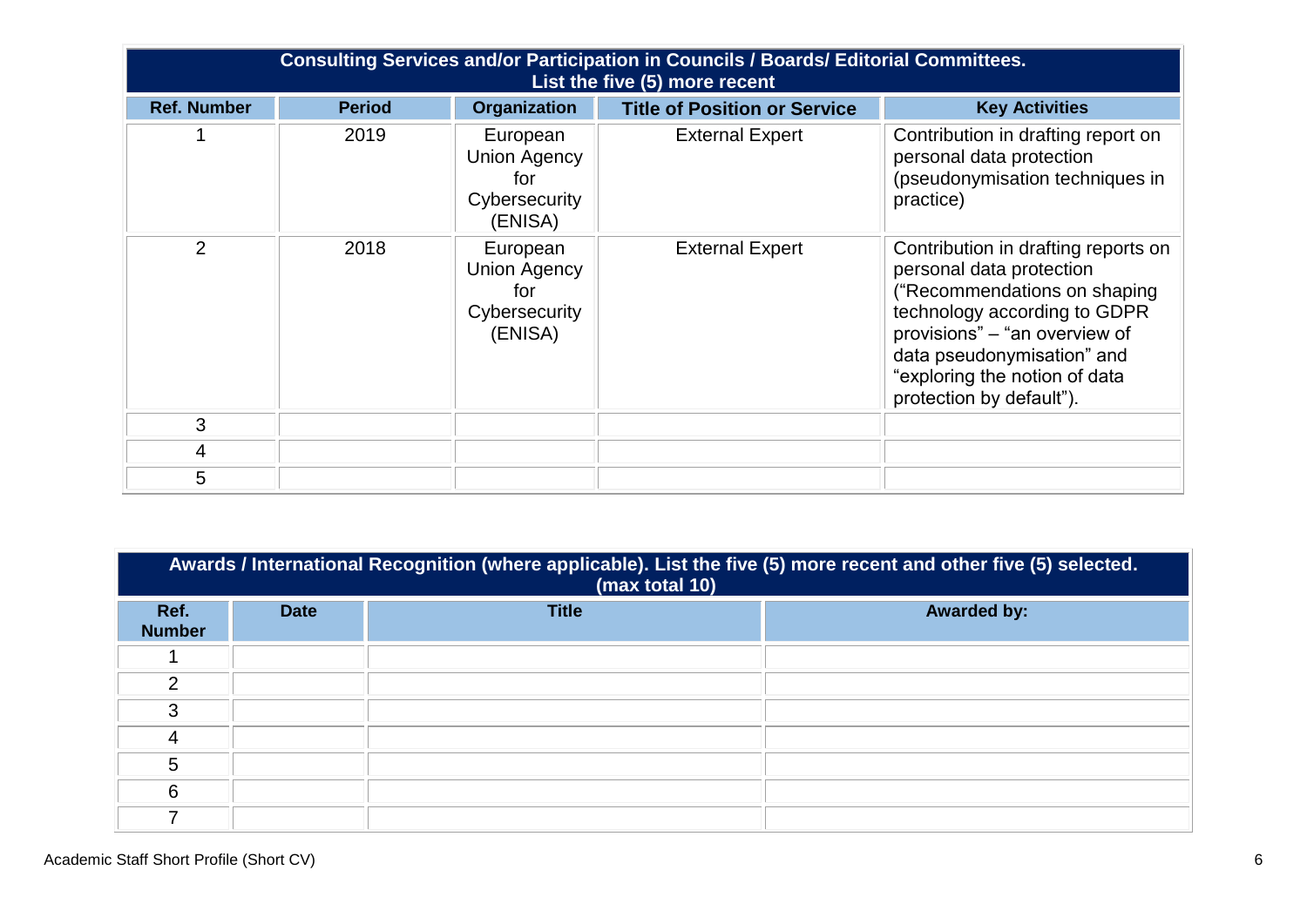|                    | Consulting Services and/or Participation in Councils / Boards/ Editorial Committees.<br>List the five (5) more recent |                                                                    |                                     |                                                                                                                                                                                                                                                             |  |
|--------------------|-----------------------------------------------------------------------------------------------------------------------|--------------------------------------------------------------------|-------------------------------------|-------------------------------------------------------------------------------------------------------------------------------------------------------------------------------------------------------------------------------------------------------------|--|
| <b>Ref. Number</b> | <b>Period</b>                                                                                                         | <b>Organization</b>                                                | <b>Title of Position or Service</b> | <b>Key Activities</b>                                                                                                                                                                                                                                       |  |
|                    | 2019                                                                                                                  | European<br><b>Union Agency</b><br>for<br>Cybersecurity<br>(ENISA) | <b>External Expert</b>              | Contribution in drafting report on<br>personal data protection<br>(pseudonymisation techniques in<br>practice)                                                                                                                                              |  |
| 2                  | 2018                                                                                                                  | European<br><b>Union Agency</b><br>for<br>Cybersecurity<br>(ENISA) | <b>External Expert</b>              | Contribution in drafting reports on<br>personal data protection<br>("Recommendations on shaping<br>technology according to GDPR<br>provisions" - "an overview of<br>data pseudonymisation" and<br>"exploring the notion of data<br>protection by default"). |  |
| 3                  |                                                                                                                       |                                                                    |                                     |                                                                                                                                                                                                                                                             |  |
| 4                  |                                                                                                                       |                                                                    |                                     |                                                                                                                                                                                                                                                             |  |
| 5                  |                                                                                                                       |                                                                    |                                     |                                                                                                                                                                                                                                                             |  |

|                       | Awards / International Recognition (where applicable). List the five (5) more recent and other five (5) selected.<br>(max total 10) |              |                    |  |  |
|-----------------------|-------------------------------------------------------------------------------------------------------------------------------------|--------------|--------------------|--|--|
| Ref.<br><b>Number</b> | <b>Date</b>                                                                                                                         | <b>Title</b> | <b>Awarded by:</b> |  |  |
|                       |                                                                                                                                     |              |                    |  |  |
| າ                     |                                                                                                                                     |              |                    |  |  |
| 3                     |                                                                                                                                     |              |                    |  |  |
|                       |                                                                                                                                     |              |                    |  |  |
| 5                     |                                                                                                                                     |              |                    |  |  |
| 6                     |                                                                                                                                     |              |                    |  |  |
| ⇁                     |                                                                                                                                     |              |                    |  |  |